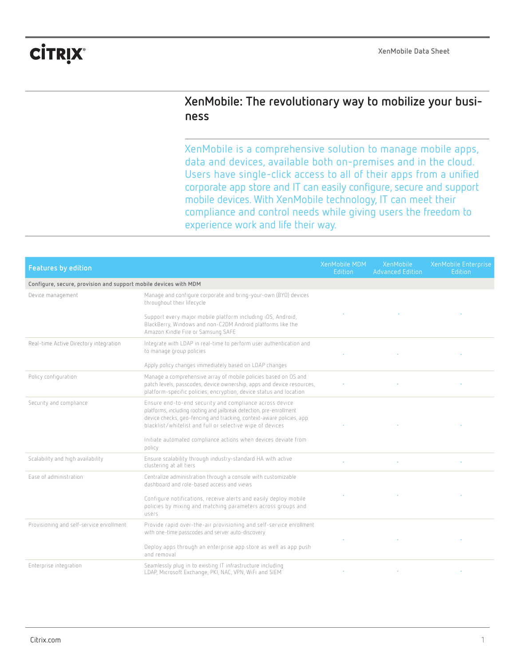## **CİTRIX®**

## **XenMobile: The revolutionary way to mobilize your business**

XenMobile is a comprehensive solution to manage mobile apps, data and devices, available both on-premises and in the cloud. Users have single-click access to all of their apps from a unified corporate app store and IT can easily configure, secure and support mobile devices. With XenMobile technology, IT can meet their compliance and control needs while giving users the freedom to experience work and life their way.

| <b>Features by edition</b>                                       |                                                                                                                                                                                                                                                                      | XenMobile MDM<br><b>Edition</b> | XenMobile<br><b>Advanced Edition</b> | XenMobile Enterprise<br>Edition |
|------------------------------------------------------------------|----------------------------------------------------------------------------------------------------------------------------------------------------------------------------------------------------------------------------------------------------------------------|---------------------------------|--------------------------------------|---------------------------------|
| Configure, secure, provision and support mobile devices with MDM |                                                                                                                                                                                                                                                                      |                                 |                                      |                                 |
| Device management                                                | Manage and configure corporate and bring-your-own (BYO) devices<br>throughout their lifecycle                                                                                                                                                                        |                                 |                                      |                                 |
|                                                                  | Support every major mobile platform including iOS, Android,<br>BlackBerry, Windows and non-C2DM Android platforms like the<br>Amazon Kindle Fire or Samsung SAFE                                                                                                     |                                 |                                      |                                 |
| Real-time Active Directory integration                           | Integrate with LDAP in real-time to perform user authentication and<br>to manage group policies                                                                                                                                                                      |                                 |                                      |                                 |
|                                                                  | Apply policy changes immediately based on LDAP changes                                                                                                                                                                                                               |                                 |                                      |                                 |
| Policy configuration                                             | Manage a comprehensive array of mobile policies based on OS and<br>patch levels, passcodes, device ownership, apps and device resources,<br>platform-specific policies, encryption, device status and location                                                       |                                 |                                      |                                 |
| Security and compliance                                          | Ensure end-to-end security and compliance across device<br>platforms, including rooting and jailbreak detection, pre-enrollment<br>device checks, geo-fencing and tracking, context-aware policies, app<br>blacklist/whitelist and full or selective wipe of devices |                                 |                                      |                                 |
|                                                                  | Initiate automated compliance actions when devices deviate from<br>policy                                                                                                                                                                                            |                                 |                                      |                                 |
| Scalability and high availability                                | Ensure scalability through industry-standard HA with active<br>clustering at all tiers                                                                                                                                                                               |                                 |                                      |                                 |
| Ease of administration                                           | Centralize administration through a console with customizable<br>dashboard and role-based access and views                                                                                                                                                           |                                 |                                      |                                 |
|                                                                  | Configure notifications, receive alerts and easily deploy mobile<br>policies by mixing and matching parameters across groups and<br>users                                                                                                                            |                                 |                                      |                                 |
| Provisioning and self-service enrollment                         | Provide rapid over-the-air provisioning and self-service enrollment<br>with one-time passcodes and server auto-discovery                                                                                                                                             |                                 |                                      |                                 |
|                                                                  | Deploy apps through an enterprise app store as well as app push<br>and removal                                                                                                                                                                                       |                                 |                                      |                                 |
| Enterprise integration                                           | Seamlessly plug in to existing IT infrastructure including<br>LDAP, Microsoft Exchange, PKI, NAC, VPN, WiFi and SIEM                                                                                                                                                 |                                 |                                      |                                 |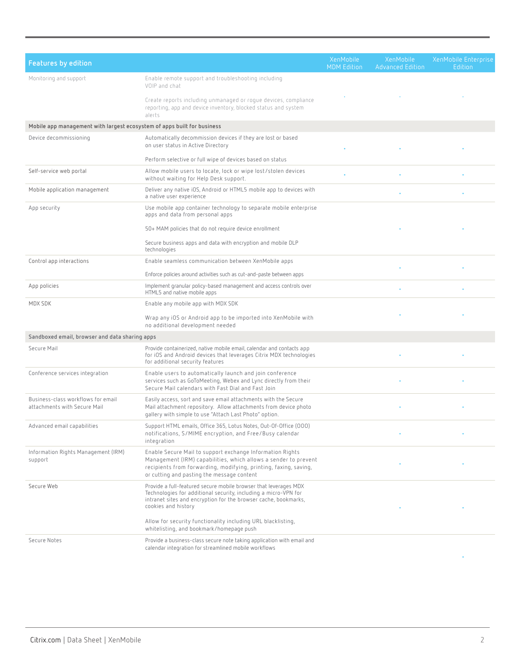| <b>Features by edition</b>                                              |                                                                                                                                                                                                                                                | XenMobile<br><b>MDM Edition</b> | XenMobile<br><b>Advanced Edition</b> | XenMobile Enterprise<br>Edition |
|-------------------------------------------------------------------------|------------------------------------------------------------------------------------------------------------------------------------------------------------------------------------------------------------------------------------------------|---------------------------------|--------------------------------------|---------------------------------|
| Monitoring and support                                                  | Enable remote support and troubleshooting including<br>VOIP and chat                                                                                                                                                                           |                                 |                                      |                                 |
|                                                                         | Create reports including unmanaged or rogue devices, compliance<br>reporting, app and device inventory, blocked status and system<br>alerts                                                                                                    |                                 |                                      |                                 |
| Mobile app management with largest ecosystem of apps built for business |                                                                                                                                                                                                                                                |                                 |                                      |                                 |
| Device decommissioning                                                  | Automatically decommission devices if they are lost or based<br>on user status in Active Directory                                                                                                                                             |                                 |                                      |                                 |
|                                                                         | Perform selective or full wipe of devices based on status                                                                                                                                                                                      |                                 |                                      |                                 |
| Self-service web portal                                                 | Allow mobile users to locate, lock or wipe lost/stolen devices<br>without waiting for Help Desk support.                                                                                                                                       |                                 |                                      |                                 |
| Mobile application management                                           | Deliver any native iOS, Android or HTML5 mobile app to devices with<br>a native user experience                                                                                                                                                |                                 |                                      |                                 |
| App security                                                            | Use mobile app container technology to separate mobile enterprise<br>apps and data from personal apps                                                                                                                                          |                                 |                                      |                                 |
|                                                                         | 50+ MAM policies that do not require device enrollment                                                                                                                                                                                         |                                 |                                      |                                 |
|                                                                         | Secure business apps and data with encryption and mobile DLP<br>technologies                                                                                                                                                                   |                                 |                                      |                                 |
| Control app interactions                                                | Enable seamless communication between XenMobile apps                                                                                                                                                                                           |                                 |                                      |                                 |
|                                                                         | Enforce policies around activities such as cut-and-paste between apps                                                                                                                                                                          |                                 |                                      |                                 |
| App policies                                                            | Implement granular policy-based management and access controls over<br>HTML5 and native mobile apps                                                                                                                                            |                                 |                                      |                                 |
| MDX SDK                                                                 | Enable any mobile app with MDX SDK                                                                                                                                                                                                             |                                 |                                      |                                 |
|                                                                         | Wrap any iOS or Android app to be imported into XenMobile with<br>no additional development needed                                                                                                                                             |                                 |                                      |                                 |
| Sandboxed email, browser and data sharing apps                          |                                                                                                                                                                                                                                                |                                 |                                      |                                 |
| Secure Mail                                                             | Provide containerized, native mobile email, calendar and contacts app<br>for iOS and Android devices that leverages Citrix MDX technologies<br>for additional security features                                                                |                                 |                                      |                                 |
| Conference services integration                                         | Enable users to automatically launch and join conference<br>services such as GoToMeeting, Webex and Lync directly from their<br>Secure Mail calendars with Fast Dial and Fast Join                                                             |                                 |                                      |                                 |
| Business-class workflows for email<br>attachments with Secure Mail      | Easily access, sort and save email attachments with the Secure<br>Mail attachment repository. Allow attachments from device photo<br>gallery with simple to use "Attach Last Photo" option.                                                    |                                 |                                      |                                 |
| Advanced email capabilities                                             | Support HTML emails, Office 365, Lotus Notes, Out-Of-Office (000)<br>notifications, S/MIME encryption, and Free/Busy calendar<br>integration                                                                                                   |                                 |                                      |                                 |
| Information Rights Management (IRM)<br>support                          | Enable Secure Mail to support exchange Information Rights<br>Management (IRM) capabilities, which allows a sender to prevent<br>recipients from forwarding, modifying, printing, faxing, saving,<br>or cutting and pasting the message content |                                 |                                      |                                 |
| Secure Web                                                              | Provide a full-featured secure mobile browser that leverages MDX<br>Technologies for additional security, including a micro-VPN for<br>intranet sites and encryption for the browser cache, bookmarks,<br>cookies and history                  |                                 |                                      |                                 |
|                                                                         | Allow for security functionality including URL blacklisting,<br>whitelisting, and bookmark/homepage push                                                                                                                                       |                                 |                                      |                                 |
| Secure Notes                                                            | Provide a business-class secure note taking application with email and<br>calendar integration for streamlined mobile workflows                                                                                                                |                                 |                                      |                                 |